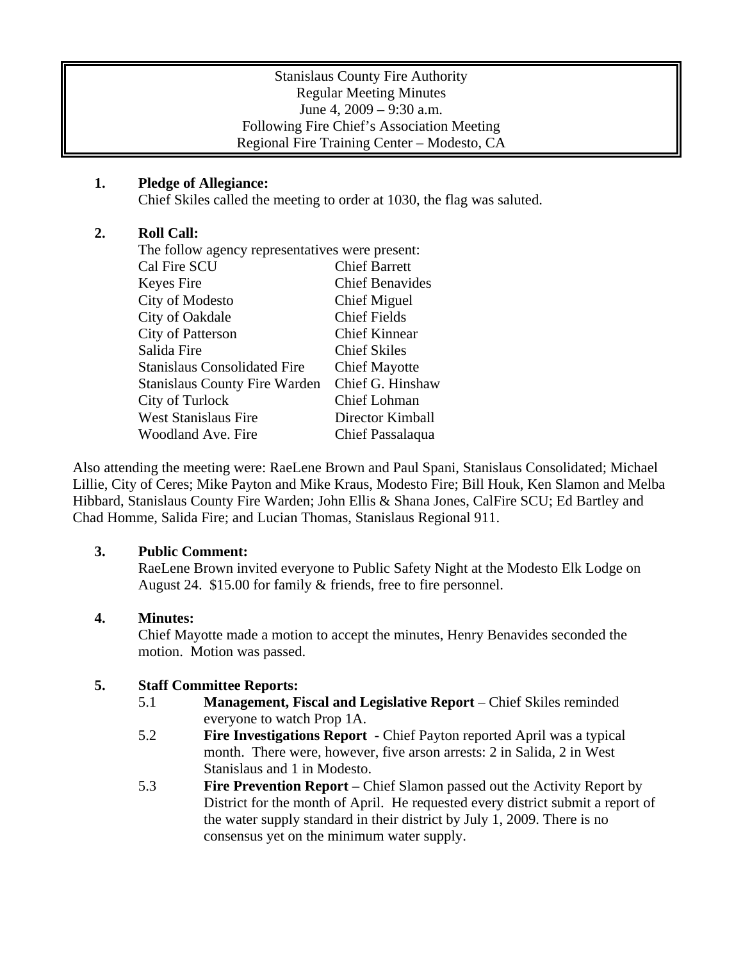#### Stanislaus County Fire Authority Regular Meeting Minutes June 4, 2009 – 9:30 a.m. Following Fire Chief's Association Meeting Regional Fire Training Center – Modesto, CA

## **1. Pledge of Allegiance:**

Chief Skiles called the meeting to order at 1030, the flag was saluted.

## **2. Roll Call:**

| The follow agency representatives were present: |                        |
|-------------------------------------------------|------------------------|
| Cal Fire SCU                                    | <b>Chief Barrett</b>   |
| Keyes Fire                                      | <b>Chief Benavides</b> |
| City of Modesto                                 | Chief Miguel           |
| City of Oakdale                                 | <b>Chief Fields</b>    |
| City of Patterson                               | <b>Chief Kinnear</b>   |
| Salida Fire                                     | <b>Chief Skiles</b>    |
| <b>Stanislaus Consolidated Fire</b>             | <b>Chief Mayotte</b>   |
| <b>Stanislaus County Fire Warden</b>            | Chief G. Hinshaw       |
| City of Turlock                                 | Chief Lohman           |
| West Stanislaus Fire                            | Director Kimball       |
| Woodland Ave. Fire                              | Chief Passalaqua       |
|                                                 |                        |

Also attending the meeting were: RaeLene Brown and Paul Spani, Stanislaus Consolidated; Michael Lillie, City of Ceres; Mike Payton and Mike Kraus, Modesto Fire; Bill Houk, Ken Slamon and Melba Hibbard, Stanislaus County Fire Warden; John Ellis & Shana Jones, CalFire SCU; Ed Bartley and Chad Homme, Salida Fire; and Lucian Thomas, Stanislaus Regional 911.

### **3. Public Comment:**

RaeLene Brown invited everyone to Public Safety Night at the Modesto Elk Lodge on August 24. \$15.00 for family & friends, free to fire personnel.

# **4. Minutes:**

Chief Mayotte made a motion to accept the minutes, Henry Benavides seconded the motion. Motion was passed.

### **5. Staff Committee Reports:**

- 5.1 **Management, Fiscal and Legislative Report** Chief Skiles reminded everyone to watch Prop 1A.
- 5.2 **Fire Investigations Report** Chief Payton reported April was a typical month. There were, however, five arson arrests: 2 in Salida, 2 in West Stanislaus and 1 in Modesto.
- 5.3 **Fire Prevention Report –** Chief Slamon passed out the Activity Report by District for the month of April. He requested every district submit a report of the water supply standard in their district by July 1, 2009. There is no consensus yet on the minimum water supply.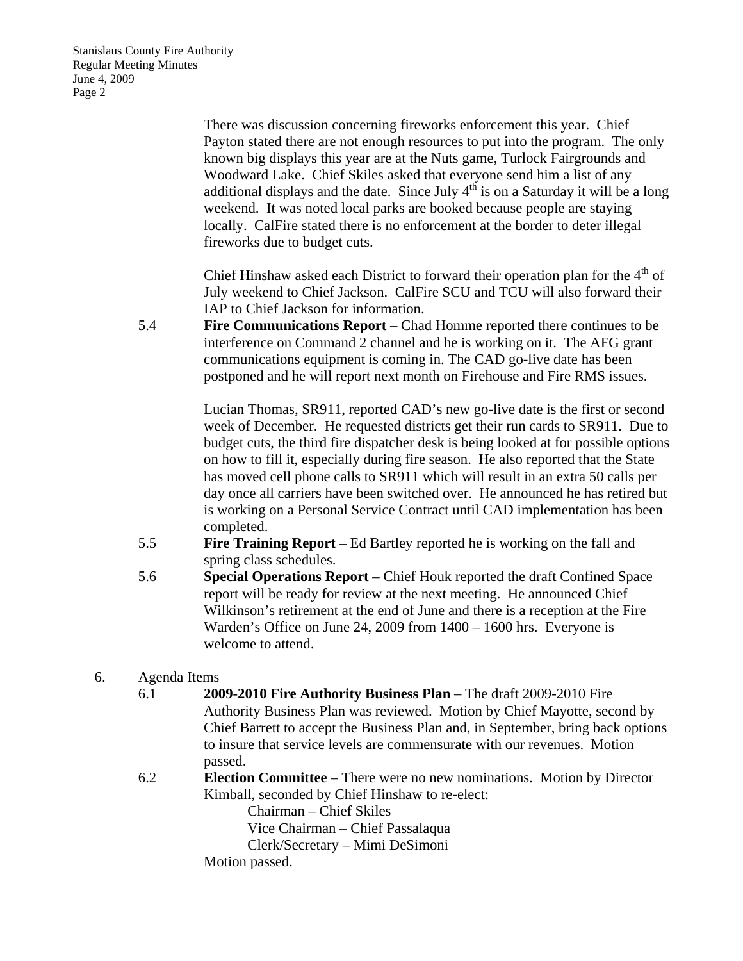There was discussion concerning fireworks enforcement this year. Chief Payton stated there are not enough resources to put into the program. The only known big displays this year are at the Nuts game, Turlock Fairgrounds and Woodward Lake. Chief Skiles asked that everyone send him a list of any additional displays and the date. Since July  $4<sup>th</sup>$  is on a Saturday it will be a long weekend. It was noted local parks are booked because people are staying locally. CalFire stated there is no enforcement at the border to deter illegal fireworks due to budget cuts.

Chief Hinshaw asked each District to forward their operation plan for the  $4<sup>th</sup>$  of July weekend to Chief Jackson. CalFire SCU and TCU will also forward their IAP to Chief Jackson for information.

5.4 **Fire Communications Report** – Chad Homme reported there continues to be interference on Command 2 channel and he is working on it. The AFG grant communications equipment is coming in. The CAD go-live date has been postponed and he will report next month on Firehouse and Fire RMS issues.

> Lucian Thomas, SR911, reported CAD's new go-live date is the first or second week of December. He requested districts get their run cards to SR911. Due to budget cuts, the third fire dispatcher desk is being looked at for possible options on how to fill it, especially during fire season. He also reported that the State has moved cell phone calls to SR911 which will result in an extra 50 calls per day once all carriers have been switched over. He announced he has retired but is working on a Personal Service Contract until CAD implementation has been completed.

- 5.5 **Fire Training Report**  Ed Bartley reported he is working on the fall and spring class schedules.
- 5.6 **Special Operations Report** Chief Houk reported the draft Confined Space report will be ready for review at the next meeting. He announced Chief Wilkinson's retirement at the end of June and there is a reception at the Fire Warden's Office on June 24, 2009 from 1400 – 1600 hrs. Everyone is welcome to attend.

### 6. Agenda Items

- 6.1 **2009-2010 Fire Authority Business Plan**  The draft 2009-2010 Fire Authority Business Plan was reviewed. Motion by Chief Mayotte, second by Chief Barrett to accept the Business Plan and, in September, bring back options to insure that service levels are commensurate with our revenues. Motion passed.
- 6.2 **Election Committee** There were no new nominations. Motion by Director Kimball, seconded by Chief Hinshaw to re-elect:

Chairman – Chief Skiles

Vice Chairman – Chief Passalaqua

Clerk/Secretary – Mimi DeSimoni

Motion passed.